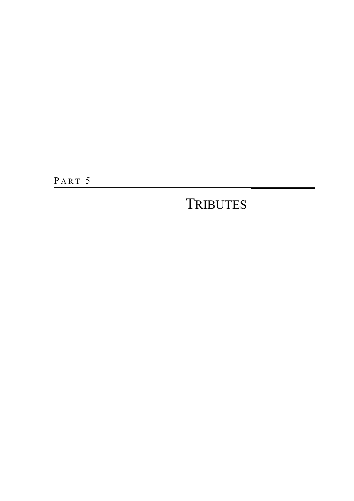PART 5

### **TRIBUTES**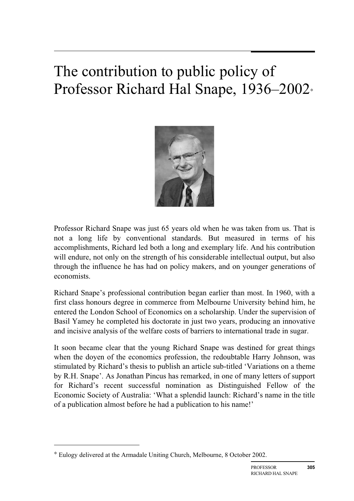# The contribution to public policy of Professor Richard Hal Snape, 1936–2002<sup>∗</sup>



Professor Richard Snape was just 65 years old when he was taken from us. That is not a long life by conventional standards. But measured in terms of his accomplishments, Richard led both a long and exemplary life. And his contribution will endure, not only on the strength of his considerable intellectual output, but also through the influence he has had on policy makers, and on younger generations of economists.

Richard Snape's professional contribution began earlier than most. In 1960, with a first class honours degree in commerce from Melbourne University behind him, he entered the London School of Economics on a scholarship. Under the supervision of Basil Yamey he completed his doctorate in just two years, producing an innovative and incisive analysis of the welfare costs of barriers to international trade in sugar.

It soon became clear that the young Richard Snape was destined for great things when the doyen of the economics profession, the redoubtable Harry Johnson, was stimulated by Richard's thesis to publish an article sub-titled 'Variations on a theme by R.H. Snape'. As Jonathan Pincus has remarked, in one of many letters of support for Richard's recent successful nomination as Distinguished Fellow of the Economic Society of Australia: 'What a splendid launch: Richard's name in the title of a publication almost before he had a publication to his name!'

 $\overline{a}$ 

<sup>∗</sup> Eulogy delivered at the Armadale Uniting Church, Melbourne, 8 October 2002.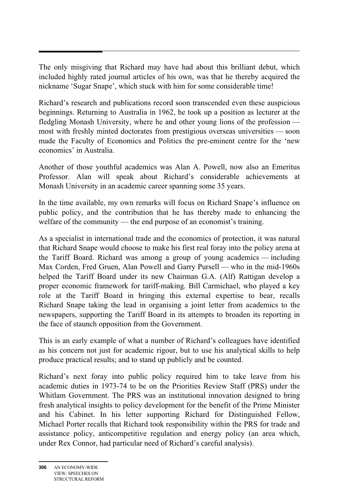The only misgiving that Richard may have had about this brilliant debut, which included highly rated journal articles of his own, was that he thereby acquired the nickname 'Sugar Snape', which stuck with him for some considerable time!

Richard's research and publications record soon transcended even these auspicious beginnings. Returning to Australia in 1962, he took up a position as lecturer at the fledgling Monash University, where he and other young lions of the profession most with freshly minted doctorates from prestigious overseas universities — soon made the Faculty of Economics and Politics the pre-eminent centre for the 'new economics' in Australia.

Another of those youthful academics was Alan A. Powell, now also an Emeritus Professor. Alan will speak about Richard's considerable achievements at Monash University in an academic career spanning some 35 years.

In the time available, my own remarks will focus on Richard Snape's influence on public policy, and the contribution that he has thereby made to enhancing the welfare of the community — the end purpose of an economist's training.

As a specialist in international trade and the economics of protection, it was natural that Richard Snape would choose to make his first real foray into the policy arena at the Tariff Board. Richard was among a group of young academics — including Max Corden, Fred Gruen, Alan Powell and Garry Pursell — who in the mid-1960s helped the Tariff Board under its new Chairman G.A. (Alf) Rattigan develop a proper economic framework for tariff-making. Bill Carmichael, who played a key role at the Tariff Board in bringing this external expertise to bear, recalls Richard Snape taking the lead in organising a joint letter from academics to the newspapers, supporting the Tariff Board in its attempts to broaden its reporting in the face of staunch opposition from the Government.

This is an early example of what a number of Richard's colleagues have identified as his concern not just for academic rigour, but to use his analytical skills to help produce practical results; and to stand up publicly and be counted.

Richard's next foray into public policy required him to take leave from his academic duties in 1973-74 to be on the Priorities Review Staff (PRS) under the Whitlam Government. The PRS was an institutional innovation designed to bring fresh analytical insights to policy development for the benefit of the Prime Minister and his Cabinet. In his letter supporting Richard for Distinguished Fellow, Michael Porter recalls that Richard took responsibility within the PRS for trade and assistance policy, anticompetitive regulation and energy policy (an area which, under Rex Connor, had particular need of Richard's careful analysis).

Ξ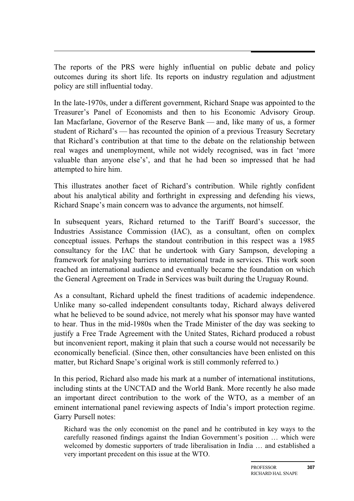The reports of the PRS were highly influential on public debate and policy outcomes during its short life. Its reports on industry regulation and adjustment policy are still influential today.

In the late-1970s, under a different government, Richard Snape was appointed to the Treasurer's Panel of Economists and then to his Economic Advisory Group. Ian Macfarlane, Governor of the Reserve Bank — and, like many of us, a former student of Richard's — has recounted the opinion of a previous Treasury Secretary that Richard's contribution at that time to the debate on the relationship between real wages and unemployment, while not widely recognised, was in fact 'more valuable than anyone else's', and that he had been so impressed that he had attempted to hire him.

This illustrates another facet of Richard's contribution. While rightly confident about his analytical ability and forthright in expressing and defending his views, Richard Snape's main concern was to advance the arguments, not himself.

In subsequent years, Richard returned to the Tariff Board's successor, the Industries Assistance Commission (IAC), as a consultant, often on complex conceptual issues. Perhaps the standout contribution in this respect was a 1985 consultancy for the IAC that he undertook with Gary Sampson, developing a framework for analysing barriers to international trade in services. This work soon reached an international audience and eventually became the foundation on which the General Agreement on Trade in Services was built during the Uruguay Round.

As a consultant, Richard upheld the finest traditions of academic independence. Unlike many so-called independent consultants today, Richard always delivered what he believed to be sound advice, not merely what his sponsor may have wanted to hear. Thus in the mid-1980s when the Trade Minister of the day was seeking to justify a Free Trade Agreement with the United States, Richard produced a robust but inconvenient report, making it plain that such a course would not necessarily be economically beneficial. (Since then, other consultancies have been enlisted on this matter, but Richard Snape's original work is still commonly referred to.)

In this period, Richard also made his mark at a number of international institutions, including stints at the UNCTAD and the World Bank. More recently he also made an important direct contribution to the work of the WTO, as a member of an eminent international panel reviewing aspects of India's import protection regime. Garry Pursell notes:

Richard was the only economist on the panel and he contributed in key ways to the carefully reasoned findings against the Indian Government's position … which were welcomed by domestic supporters of trade liberalisation in India … and established a very important precedent on this issue at the WTO.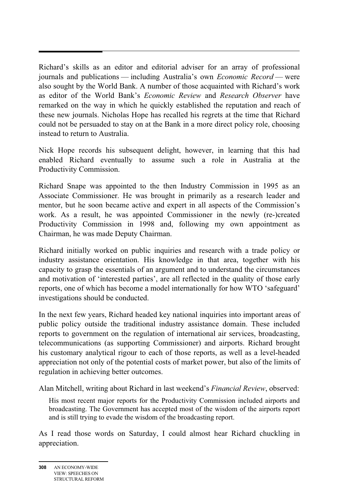Richard's skills as an editor and editorial adviser for an array of professional journals and publications — including Australia's own *Economic Record* — were also sought by the World Bank. A number of those acquainted with Richard's work as editor of the World Bank's *Economic Review* and *Research Observer* have remarked on the way in which he quickly established the reputation and reach of these new journals. Nicholas Hope has recalled his regrets at the time that Richard could not be persuaded to stay on at the Bank in a more direct policy role, choosing instead to return to Australia.

Nick Hope records his subsequent delight, however, in learning that this had enabled Richard eventually to assume such a role in Australia at the Productivity Commission.

Richard Snape was appointed to the then Industry Commission in 1995 as an Associate Commissioner. He was brought in primarily as a research leader and mentor, but he soon became active and expert in all aspects of the Commission's work. As a result, he was appointed Commissioner in the newly (re-)created Productivity Commission in 1998 and, following my own appointment as Chairman, he was made Deputy Chairman.

Richard initially worked on public inquiries and research with a trade policy or industry assistance orientation. His knowledge in that area, together with his capacity to grasp the essentials of an argument and to understand the circumstances and motivation of 'interested parties', are all reflected in the quality of those early reports, one of which has become a model internationally for how WTO 'safeguard' investigations should be conducted.

In the next few years, Richard headed key national inquiries into important areas of public policy outside the traditional industry assistance domain. These included reports to government on the regulation of international air services, broadcasting, telecommunications (as supporting Commissioner) and airports. Richard brought his customary analytical rigour to each of those reports, as well as a level-headed appreciation not only of the potential costs of market power, but also of the limits of regulation in achieving better outcomes.

Alan Mitchell, writing about Richard in last weekend's *Financial Review*, observed:

His most recent major reports for the Productivity Commission included airports and broadcasting. The Government has accepted most of the wisdom of the airports report and is still trying to evade the wisdom of the broadcasting report.

As I read those words on Saturday, I could almost hear Richard chuckling in appreciation.

Ξ

**<sup>308</sup>** AN ECONOMY-WIDE VIEW: SPEECHES ON STRUCTURAL REFORM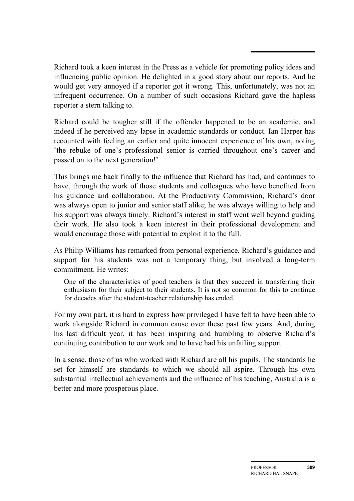Richard took a keen interest in the Press as a vehicle for promoting policy ideas and influencing public opinion. He delighted in a good story about our reports. And he would get very annoyed if a reporter got it wrong. This, unfortunately, was not an infrequent occurrence. On a number of such occasions Richard gave the hapless reporter a stern talking to.

Richard could be tougher still if the offender happened to be an academic, and indeed if he perceived any lapse in academic standards or conduct. Ian Harper has recounted with feeling an earlier and quite innocent experience of his own, noting 'the rebuke of one's professional senior is carried throughout one's career and passed on to the next generation!'

This brings me back finally to the influence that Richard has had, and continues to have, through the work of those students and colleagues who have benefited from his guidance and collaboration. At the Productivity Commission, Richard's door was always open to junior and senior staff alike; he was always willing to help and his support was always timely. Richard's interest in staff went well beyond guiding their work. He also took a keen interest in their professional development and would encourage those with potential to exploit it to the full.

As Philip Williams has remarked from personal experience, Richard's guidance and support for his students was not a temporary thing, but involved a long-term commitment. He writes:

One of the characteristics of good teachers is that they succeed in transferring their enthusiasm for their subject to their students. It is not so common for this to continue for decades after the student-teacher relationship has ended.

For my own part, it is hard to express how privileged I have felt to have been able to work alongside Richard in common cause over these past few years. And, during his last difficult year, it has been inspiring and humbling to observe Richard's continuing contribution to our work and to have had his unfailing support.

In a sense, those of us who worked with Richard are all his pupils. The standards he set for himself are standards to which we should all aspire. Through his own substantial intellectual achievements and the influence of his teaching, Australia is a better and more prosperous place.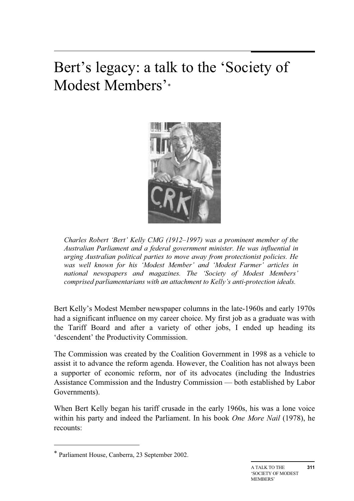## Bert's legacy: a talk to the 'Society of Modest Members'\*



*Charles Robert 'Bert' Kelly CMG (1912–1997) was a prominent member of the Australian Parliament and a federal government minister. He was influential in urging Australian political parties to move away from protectionist policies. He was well known for his 'Modest Member' and 'Modest Farmer' articles in national newspapers and magazines. The 'Society of Modest Members' comprised parliamentarians with an attachment to Kelly's anti-protection ideals.* 

Bert Kelly's Modest Member newspaper columns in the late-1960s and early 1970s had a significant influence on my career choice. My first job as a graduate was with the Tariff Board and after a variety of other jobs, I ended up heading its 'descendent' the Productivity Commission.

The Commission was created by the Coalition Government in 1998 as a vehicle to assist it to advance the reform agenda. However, the Coalition has not always been a supporter of economic reform, nor of its advocates (including the Industries Assistance Commission and the Industry Commission — both established by Labor Governments).

When Bert Kelly began his tariff crusade in the early 1960s, his was a lone voice within his party and indeed the Parliament. In his book *One More Nail* (1978), he recounts:

 $\overline{a}$ 

<sup>\*</sup> Parliament House, Canberra, 23 September 2002.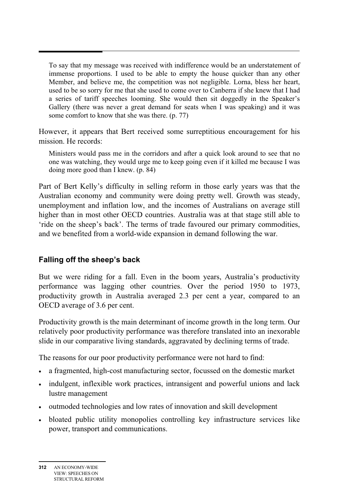To say that my message was received with indifference would be an understatement of immense proportions. I used to be able to empty the house quicker than any other Member, and believe me, the competition was not negligible. Lorna, bless her heart, used to be so sorry for me that she used to come over to Canberra if she knew that I had a series of tariff speeches looming. She would then sit doggedly in the Speaker's Gallery (there was never a great demand for seats when I was speaking) and it was some comfort to know that she was there. (p. 77)

However, it appears that Bert received some surreptitious encouragement for his mission. He records:

Ministers would pass me in the corridors and after a quick look around to see that no one was watching, they would urge me to keep going even if it killed me because I was doing more good than I knew. (p. 84)

Part of Bert Kelly's difficulty in selling reform in those early years was that the Australian economy and community were doing pretty well. Growth was steady, unemployment and inflation low, and the incomes of Australians on average still higher than in most other OECD countries. Australia was at that stage still able to 'ride on the sheep's back'. The terms of trade favoured our primary commodities, and we benefited from a world-wide expansion in demand following the war.

### **Falling off the sheep's back**

Ξ

But we were riding for a fall. Even in the boom years, Australia's productivity performance was lagging other countries. Over the period 1950 to 1973, productivity growth in Australia averaged 2.3 per cent a year, compared to an OECD average of 3.6 per cent.

Productivity growth is the main determinant of income growth in the long term. Our relatively poor productivity performance was therefore translated into an inexorable slide in our comparative living standards, aggravated by declining terms of trade.

The reasons for our poor productivity performance were not hard to find:

- a fragmented, high-cost manufacturing sector, focussed on the domestic market
- indulgent, inflexible work practices, intransigent and powerful unions and lack lustre management
- outmoded technologies and low rates of innovation and skill development
- bloated public utility monopolies controlling key infrastructure services like power, transport and communications.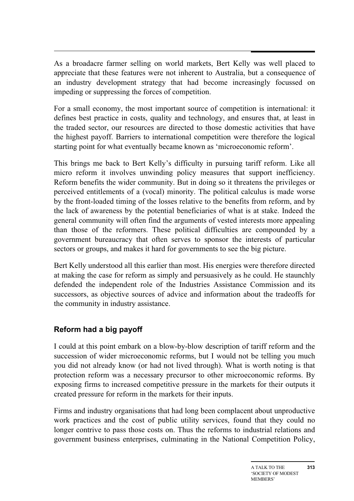As a broadacre farmer selling on world markets, Bert Kelly was well placed to appreciate that these features were not inherent to Australia, but a consequence of an industry development strategy that had become increasingly focussed on impeding or suppressing the forces of competition.

For a small economy, the most important source of competition is international: it defines best practice in costs, quality and technology, and ensures that, at least in the traded sector, our resources are directed to those domestic activities that have the highest payoff. Barriers to international competition were therefore the logical starting point for what eventually became known as 'microeconomic reform'.

This brings me back to Bert Kelly's difficulty in pursuing tariff reform. Like all micro reform it involves unwinding policy measures that support inefficiency. Reform benefits the wider community. But in doing so it threatens the privileges or perceived entitlements of a (vocal) minority. The political calculus is made worse by the front-loaded timing of the losses relative to the benefits from reform, and by the lack of awareness by the potential beneficiaries of what is at stake. Indeed the general community will often find the arguments of vested interests more appealing than those of the reformers. These political difficulties are compounded by a government bureaucracy that often serves to sponsor the interests of particular sectors or groups, and makes it hard for governments to see the big picture.

Bert Kelly understood all this earlier than most. His energies were therefore directed at making the case for reform as simply and persuasively as he could. He staunchly defended the independent role of the Industries Assistance Commission and its successors, as objective sources of advice and information about the tradeoffs for the community in industry assistance.

### **Reform had a big payoff**

I could at this point embark on a blow-by-blow description of tariff reform and the succession of wider microeconomic reforms, but I would not be telling you much you did not already know (or had not lived through). What is worth noting is that protection reform was a necessary precursor to other microeconomic reforms. By exposing firms to increased competitive pressure in the markets for their outputs it created pressure for reform in the markets for their inputs.

Firms and industry organisations that had long been complacent about unproductive work practices and the cost of public utility services, found that they could no longer contrive to pass those costs on. Thus the reforms to industrial relations and government business enterprises, culminating in the National Competition Policy,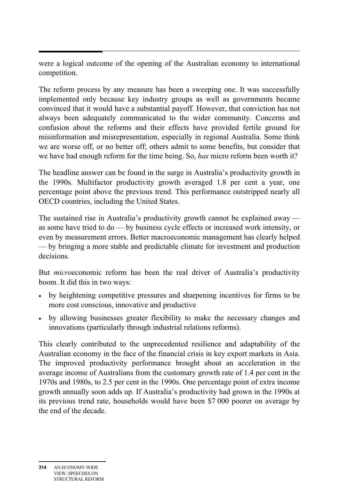Ξ were a logical outcome of the opening of the Australian economy to international competition.

The reform process by any measure has been a sweeping one. It was successfully implemented only because key industry groups as well as governments became convinced that it would have a substantial payoff. However, that conviction has not always been adequately communicated to the wider community. Concerns and confusion about the reforms and their effects have provided fertile ground for misinformation and misrepresentation, especially in regional Australia. Some think we are worse off, or no better off; others admit to some benefits, but consider that we have had enough reform for the time being. So, *has* micro reform been worth it?

The headline answer can be found in the surge in Australia's productivity growth in the 1990s. Multifactor productivity growth averaged 1.8 per cent a year, one percentage point above the previous trend. This performance outstripped nearly all OECD countries, including the United States.

The sustained rise in Australia's productivity growth cannot be explained away as some have tried to do — by business cycle effects or increased work intensity, or even by measurement errors. Better macroeconomic management has clearly helped — by bringing a more stable and predictable climate for investment and production decisions.

But *micro*economic reform has been the real driver of Australia's productivity boom. It did this in two ways:

- by heightening competitive pressures and sharpening incentives for firms to be more cost conscious, innovative and productive
- by allowing businesses greater flexibility to make the necessary changes and innovations (particularly through industrial relations reforms).

This clearly contributed to the unprecedented resilience and adaptability of the Australian economy in the face of the financial crisis in key export markets in Asia. The improved productivity performance brought about an acceleration in the average income of Australians from the customary growth rate of 1.4 per cent in the 1970s and 1980s, to 2.5 per cent in the 1990s. One percentage point of extra income growth annually soon adds up. If Australia's productivity had grown in the 1990s at its previous trend rate, households would have been \$7 000 poorer on average by the end of the decade.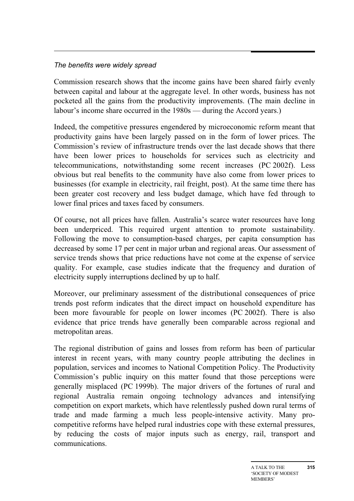#### *The benefits were widely spread*

Commission research shows that the income gains have been shared fairly evenly between capital and labour at the aggregate level. In other words, business has not pocketed all the gains from the productivity improvements. (The main decline in labour's income share occurred in the 1980s — during the Accord years.)

Indeed, the competitive pressures engendered by microeconomic reform meant that productivity gains have been largely passed on in the form of lower prices. The Commission's review of infrastructure trends over the last decade shows that there have been lower prices to households for services such as electricity and telecommunications, notwithstanding some recent increases (PC 2002f). Less obvious but real benefits to the community have also come from lower prices to businesses (for example in electricity, rail freight, post). At the same time there has been greater cost recovery and less budget damage, which have fed through to lower final prices and taxes faced by consumers.

Of course, not all prices have fallen. Australia's scarce water resources have long been underpriced. This required urgent attention to promote sustainability. Following the move to consumption-based charges, per capita consumption has decreased by some 17 per cent in major urban and regional areas. Our assessment of service trends shows that price reductions have not come at the expense of service quality. For example, case studies indicate that the frequency and duration of electricity supply interruptions declined by up to half.

Moreover, our preliminary assessment of the distributional consequences of price trends post reform indicates that the direct impact on household expenditure has been more favourable for people on lower incomes (PC 2002f). There is also evidence that price trends have generally been comparable across regional and metropolitan areas.

The regional distribution of gains and losses from reform has been of particular interest in recent years, with many country people attributing the declines in population, services and incomes to National Competition Policy. The Productivity Commission's public inquiry on this matter found that those perceptions were generally misplaced (PC 1999b). The major drivers of the fortunes of rural and regional Australia remain ongoing technology advances and intensifying competition on export markets, which have relentlessly pushed down rural terms of trade and made farming a much less people-intensive activity. Many procompetitive reforms have helped rural industries cope with these external pressures, by reducing the costs of major inputs such as energy, rail, transport and communications.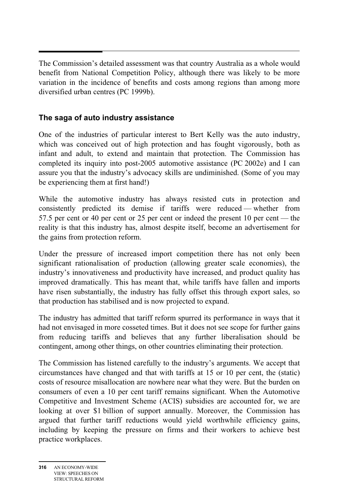Ξ The Commission's detailed assessment was that country Australia as a whole would benefit from National Competition Policy, although there was likely to be more variation in the incidence of benefits and costs among regions than among more diversified urban centres (PC 1999b).

### **The saga of auto industry assistance**

One of the industries of particular interest to Bert Kelly was the auto industry, which was conceived out of high protection and has fought vigorously, both as infant and adult, to extend and maintain that protection. The Commission has completed its inquiry into post-2005 automotive assistance (PC 2002e) and I can assure you that the industry's advocacy skills are undiminished. (Some of you may be experiencing them at first hand!)

While the automotive industry has always resisted cuts in protection and consistently predicted its demise if tariffs were reduced — whether from 57.5 per cent or 40 per cent or 25 per cent or indeed the present 10 per cent — the reality is that this industry has, almost despite itself, become an advertisement for the gains from protection reform.

Under the pressure of increased import competition there has not only been significant rationalisation of production (allowing greater scale economies), the industry's innovativeness and productivity have increased, and product quality has improved dramatically. This has meant that, while tariffs have fallen and imports have risen substantially, the industry has fully offset this through export sales, so that production has stabilised and is now projected to expand.

The industry has admitted that tariff reform spurred its performance in ways that it had not envisaged in more cosseted times. But it does not see scope for further gains from reducing tariffs and believes that any further liberalisation should be contingent, among other things, on other countries eliminating their protection.

The Commission has listened carefully to the industry's arguments. We accept that circumstances have changed and that with tariffs at 15 or 10 per cent, the (static) costs of resource misallocation are nowhere near what they were. But the burden on consumers of even a 10 per cent tariff remains significant. When the Automotive Competitive and Investment Scheme (ACIS) subsidies are accounted for, we are looking at over \$1 billion of support annually. Moreover, the Commission has argued that further tariff reductions would yield worthwhile efficiency gains, including by keeping the pressure on firms and their workers to achieve best practice workplaces.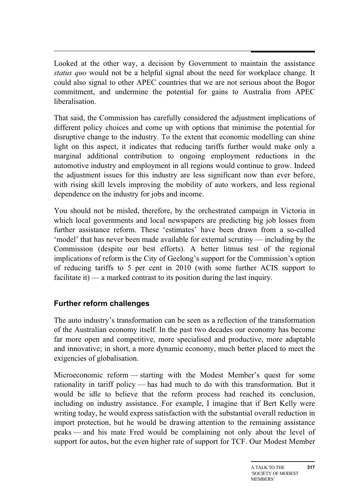Looked at the other way, a decision by Government to maintain the assistance *status quo* would not be a helpful signal about the need for workplace change. It could also signal to other APEC countries that we are not serious about the Bogor commitment, and undermine the potential for gains to Australia from APEC liberalisation.

That said, the Commission has carefully considered the adjustment implications of different policy choices and come up with options that minimise the potential for disruptive change to the industry. To the extent that economic modelling can shine light on this aspect, it indicates that reducing tariffs further would make only a marginal additional contribution to ongoing employment reductions in the automotive industry and employment in all regions would continue to grow. Indeed the adjustment issues for this industry are less significant now than ever before, with rising skill levels improving the mobility of auto workers, and less regional dependence on the industry for jobs and income.

You should not be misled, therefore, by the orchestrated campaign in Victoria in which local governments and local newspapers are predicting big job losses from further assistance reform. These 'estimates' have been drawn from a so-called 'model' that has never been made available for external scrutiny — including by the Commission (despite our best efforts). A better litmus test of the regional implications of reform is the City of Geelong's support for the Commission's option of reducing tariffs to 5 per cent in 2010 (with some further ACIS support to facilitate it) — a marked contrast to its position during the last inquiry.

### **Further reform challenges**

The auto industry's transformation can be seen as a reflection of the transformation of the Australian economy itself. In the past two decades our economy has become far more open and competitive, more specialised and productive, more adaptable and innovative; in short, a more dynamic economy, much better placed to meet the exigencies of globalisation.

Microeconomic reform — starting with the Modest Member's quest for some rationality in tariff policy — has had much to do with this transformation. But it would be idle to believe that the reform process had reached its conclusion, including on industry assistance. For example, I imagine that if Bert Kelly were writing today, he would express satisfaction with the substantial overall reduction in import protection, but he would be drawing attention to the remaining assistance peaks — and his mate Fred would be complaining not only about the level of support for autos, but the even higher rate of support for TCF. Our Modest Member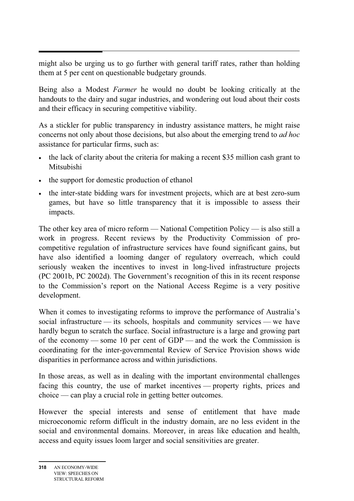Ξ might also be urging us to go further with general tariff rates, rather than holding them at 5 per cent on questionable budgetary grounds.

Being also a Modest *Farmer* he would no doubt be looking critically at the handouts to the dairy and sugar industries, and wondering out loud about their costs and their efficacy in securing competitive viability.

As a stickler for public transparency in industry assistance matters, he might raise concerns not only about those decisions, but also about the emerging trend to *ad hoc*  assistance for particular firms, such as:

- the lack of clarity about the criteria for making a recent \$35 million cash grant to Mitsubishi
- the support for domestic production of ethanol
- the inter-state bidding wars for investment projects, which are at best zero-sum games, but have so little transparency that it is impossible to assess their impacts.

The other key area of micro reform — National Competition Policy — is also still a work in progress. Recent reviews by the Productivity Commission of procompetitive regulation of infrastructure services have found significant gains, but have also identified a looming danger of regulatory overreach, which could seriously weaken the incentives to invest in long-lived infrastructure projects (PC 2001b, PC 2002d). The Government's recognition of this in its recent response to the Commission's report on the National Access Regime is a very positive development.

When it comes to investigating reforms to improve the performance of Australia's social infrastructure — its schools, hospitals and community services — we have hardly begun to scratch the surface. Social infrastructure is a large and growing part of the economy — some 10 per cent of GDP — and the work the Commission is coordinating for the inter-governmental Review of Service Provision shows wide disparities in performance across and within jurisdictions.

In those areas, as well as in dealing with the important environmental challenges facing this country, the use of market incentives — property rights, prices and choice — can play a crucial role in getting better outcomes.

However the special interests and sense of entitlement that have made microeconomic reform difficult in the industry domain, are no less evident in the social and environmental domains. Moreover, in areas like education and health, access and equity issues loom larger and social sensitivities are greater.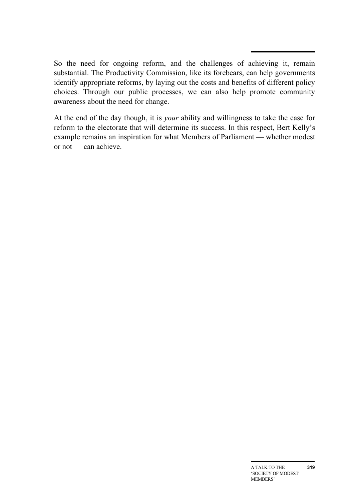So the need for ongoing reform, and the challenges of achieving it, remain substantial. The Productivity Commission, like its forebears, can help governments identify appropriate reforms, by laying out the costs and benefits of different policy choices. Through our public processes, we can also help promote community awareness about the need for change.

At the end of the day though, it is *your* ability and willingness to take the case for reform to the electorate that will determine its success. In this respect, Bert Kelly's example remains an inspiration for what Members of Parliament — whether modest or not — can achieve.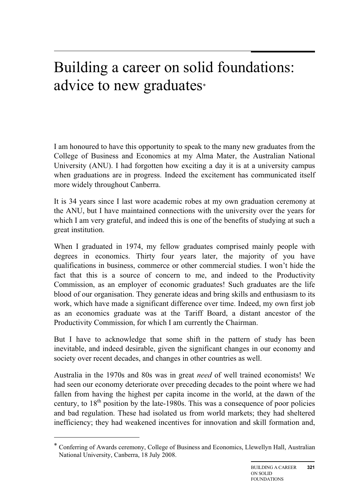## Building a career on solid foundations: advice to new graduates\*

I am honoured to have this opportunity to speak to the many new graduates from the College of Business and Economics at my Alma Mater, the Australian National University (ANU). I had forgotten how exciting a day it is at a university campus when graduations are in progress. Indeed the excitement has communicated itself more widely throughout Canberra.

It is 34 years since I last wore academic robes at my own graduation ceremony at the ANU, but I have maintained connections with the university over the years for which I am very grateful, and indeed this is one of the benefits of studying at such a great institution.

When I graduated in 1974, my fellow graduates comprised mainly people with degrees in economics. Thirty four years later, the majority of you have qualifications in business, commerce or other commercial studies. I won't hide the fact that this is a source of concern to me, and indeed to the Productivity Commission, as an employer of economic graduates! Such graduates are the life blood of our organisation. They generate ideas and bring skills and enthusiasm to its work, which have made a significant difference over time. Indeed, my own first job as an economics graduate was at the Tariff Board, a distant ancestor of the Productivity Commission, for which I am currently the Chairman.

But I have to acknowledge that some shift in the pattern of study has been inevitable, and indeed desirable, given the significant changes in our economy and society over recent decades, and changes in other countries as well.

Australia in the 1970s and 80s was in great *need* of well trained economists! We had seen our economy deteriorate over preceding decades to the point where we had fallen from having the highest per capita income in the world, at the dawn of the century, to  $18<sup>th</sup>$  position by the late-1980s. This was a consequence of poor policies and bad regulation. These had isolated us from world markets; they had sheltered inefficiency; they had weakened incentives for innovation and skill formation and,

 $\overline{a}$ 

<sup>\*</sup> Conferring of Awards ceremony, College of Business and Economics, Llewellyn Hall, Australian National University, Canberra, 18 July 2008.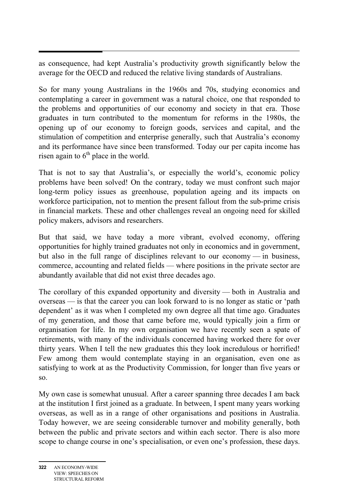Ξ as consequence, had kept Australia's productivity growth significantly below the average for the OECD and reduced the relative living standards of Australians.

So for many young Australians in the 1960s and 70s, studying economics and contemplating a career in government was a natural choice, one that responded to the problems and opportunities of our economy and society in that era. Those graduates in turn contributed to the momentum for reforms in the 1980s, the opening up of our economy to foreign goods, services and capital, and the stimulation of competition and enterprise generally, such that Australia's economy and its performance have since been transformed. Today our per capita income has risen again to  $6<sup>th</sup>$  place in the world.

That is not to say that Australia's, or especially the world's, economic policy problems have been solved! On the contrary, today we must confront such major long-term policy issues as greenhouse, population ageing and its impacts on workforce participation, not to mention the present fallout from the sub-prime crisis in financial markets. These and other challenges reveal an ongoing need for skilled policy makers, advisors and researchers.

But that said, we have today a more vibrant, evolved economy, offering opportunities for highly trained graduates not only in economics and in government, but also in the full range of disciplines relevant to our economy — in business, commerce, accounting and related fields — where positions in the private sector are abundantly available that did not exist three decades ago.

The corollary of this expanded opportunity and diversity — both in Australia and overseas — is that the career you can look forward to is no longer as static or 'path dependent' as it was when I completed my own degree all that time ago. Graduates of my generation, and those that came before me, would typically join a firm or organisation for life. In my own organisation we have recently seen a spate of retirements, with many of the individuals concerned having worked there for over thirty years. When I tell the new graduates this they look incredulous or horrified! Few among them would contemplate staying in an organisation, even one as satisfying to work at as the Productivity Commission, for longer than five years or so.

My own case is somewhat unusual. After a career spanning three decades I am back at the institution I first joined as a graduate. In between, I spent many years working overseas, as well as in a range of other organisations and positions in Australia. Today however, we are seeing considerable turnover and mobility generally, both between the public and private sectors and within each sector. There is also more scope to change course in one's specialisation, or even one's profession, these days.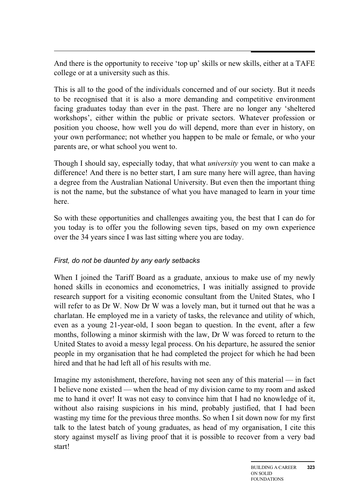And there is the opportunity to receive 'top up' skills or new skills, either at a TAFE college or at a university such as this.

This is all to the good of the individuals concerned and of our society. But it needs to be recognised that it is also a more demanding and competitive environment facing graduates today than ever in the past. There are no longer any 'sheltered workshops', either within the public or private sectors. Whatever profession or position you choose, how well you do will depend, more than ever in history, on your own performance; not whether you happen to be male or female, or who your parents are, or what school you went to.

Though I should say, especially today, that what *university* you went to can make a difference! And there is no better start, I am sure many here will agree, than having a degree from the Australian National University. But even then the important thing is not the name, but the substance of what you have managed to learn in your time here.

So with these opportunities and challenges awaiting you, the best that I can do for you today is to offer you the following seven tips, based on my own experience over the 34 years since I was last sitting where you are today.

### *First, do not be daunted by any early setbacks*

When I joined the Tariff Board as a graduate, anxious to make use of my newly honed skills in economics and econometrics, I was initially assigned to provide research support for a visiting economic consultant from the United States, who I will refer to as Dr W. Now Dr W was a lovely man, but it turned out that he was a charlatan. He employed me in a variety of tasks, the relevance and utility of which, even as a young 21-year-old, I soon began to question. In the event, after a few months, following a minor skirmish with the law, Dr W was forced to return to the United States to avoid a messy legal process. On his departure, he assured the senior people in my organisation that he had completed the project for which he had been hired and that he had left all of his results with me.

Imagine my astonishment, therefore, having not seen any of this material — in fact I believe none existed — when the head of my division came to my room and asked me to hand it over! It was not easy to convince him that I had no knowledge of it, without also raising suspicions in his mind, probably justified, that I had been wasting my time for the previous three months. So when I sit down now for my first talk to the latest batch of young graduates, as head of my organisation, I cite this story against myself as living proof that it is possible to recover from a very bad start!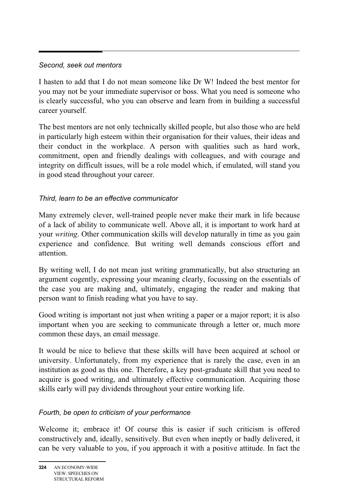#### *Second, seek out mentors*

Ξ

I hasten to add that I do not mean someone like Dr W! Indeed the best mentor for you may not be your immediate supervisor or boss. What you need is someone who is clearly successful, who you can observe and learn from in building a successful career yourself.

The best mentors are not only technically skilled people, but also those who are held in particularly high esteem within their organisation for their values, their ideas and their conduct in the workplace. A person with qualities such as hard work, commitment, open and friendly dealings with colleagues, and with courage and integrity on difficult issues, will be a role model which, if emulated, will stand you in good stead throughout your career.

### *Third, learn to be an effective communicator*

Many extremely clever, well-trained people never make their mark in life because of a lack of ability to communicate well. Above all, it is important to work hard at your *writing*. Other communication skills will develop naturally in time as you gain experience and confidence. But writing well demands conscious effort and attention.

By writing well, I do not mean just writing grammatically, but also structuring an argument cogently, expressing your meaning clearly, focussing on the essentials of the case you are making and, ultimately, engaging the reader and making that person want to finish reading what you have to say.

Good writing is important not just when writing a paper or a major report; it is also important when you are seeking to communicate through a letter or, much more common these days, an email message.

It would be nice to believe that these skills will have been acquired at school or university. Unfortunately, from my experience that is rarely the case, even in an institution as good as this one. Therefore, a key post-graduate skill that you need to acquire is good writing, and ultimately effective communication. Acquiring those skills early will pay dividends throughout your entire working life.

### *Fourth, be open to criticism of your performance*

Welcome it; embrace it! Of course this is easier if such criticism is offered constructively and, ideally, sensitively. But even when ineptly or badly delivered, it can be very valuable to you, if you approach it with a positive attitude. In fact the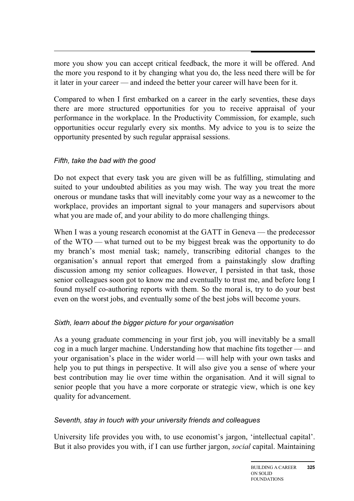more you show you can accept critical feedback, the more it will be offered. And the more you respond to it by changing what you do, the less need there will be for it later in your career — and indeed the better your career will have been for it.

Compared to when I first embarked on a career in the early seventies, these days there are more structured opportunities for you to receive appraisal of your performance in the workplace. In the Productivity Commission, for example, such opportunities occur regularly every six months. My advice to you is to seize the opportunity presented by such regular appraisal sessions.

### *Fifth, take the bad with the good*

Do not expect that every task you are given will be as fulfilling, stimulating and suited to your undoubted abilities as you may wish. The way you treat the more onerous or mundane tasks that will inevitably come your way as a newcomer to the workplace, provides an important signal to your managers and supervisors about what you are made of, and your ability to do more challenging things.

When I was a young research economist at the GATT in Geneva — the predecessor of the WTO — what turned out to be my biggest break was the opportunity to do my branch's most menial task; namely, transcribing editorial changes to the organisation's annual report that emerged from a painstakingly slow drafting discussion among my senior colleagues. However, I persisted in that task, those senior colleagues soon got to know me and eventually to trust me, and before long I found myself co-authoring reports with them. So the moral is, try to do your best even on the worst jobs, and eventually some of the best jobs will become yours.

### *Sixth, learn about the bigger picture for your organisation*

As a young graduate commencing in your first job, you will inevitably be a small cog in a much larger machine. Understanding how that machine fits together — and your organisation's place in the wider world — will help with your own tasks and help you to put things in perspective. It will also give you a sense of where your best contribution may lie over time within the organisation. And it will signal to senior people that you have a more corporate or strategic view, which is one key quality for advancement.

### *Seventh, stay in touch with your university friends and colleagues*

University life provides you with, to use economist's jargon, 'intellectual capital'. But it also provides you with, if I can use further jargon, *social* capital. Maintaining